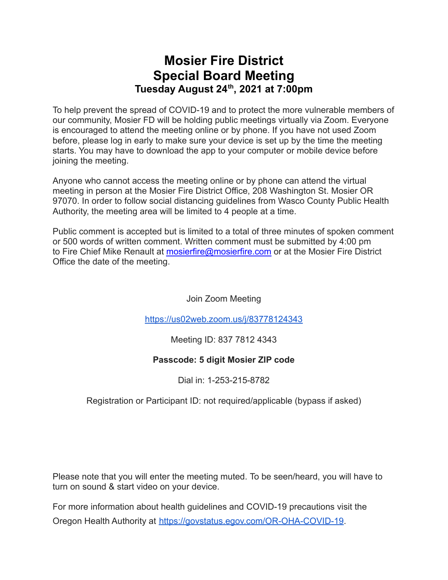# **Mosier Fire District Special Board Meeting Tuesday August 24 th , 2021 at 7:00pm**

To help prevent the spread of COVID-19 and to protect the more vulnerable members of our community, Mosier FD will be holding public meetings virtually via Zoom. Everyone is encouraged to attend the meeting online or by phone. If you have not used Zoom before, please log in early to make sure your device is set up by the time the meeting starts. You may have to download the app to your computer or mobile device before joining the meeting.

Anyone who cannot access the meeting online or by phone can attend the virtual meeting in person at the Mosier Fire District Office, 208 Washington St. Mosier OR 97070. In order to follow social distancing guidelines from Wasco County Public Health Authority, the meeting area will be limited to 4 people at a time.

Public comment is accepted but is limited to a total of three minutes of spoken comment or 500 words of written comment. Written comment must be submitted by 4:00 pm to Fire Chief Mike Renault at [mosierfire@mosierfire.com](mailto:mosierfire@mosierfire.com) or at the Mosier Fire District Office the date of the meeting.

Join Zoom Meeting

<https://us02web.zoom.us/j/83778124343>

Meeting ID: 837 7812 4343

#### **Passcode: 5 digit Mosier ZIP code**

Dial in: 1-253-215-8782

Registration or Participant ID: not required/applicable (bypass if asked)

Please note that you will enter the meeting muted. To be seen/heard, you will have to turn on sound & start video on your device.

For more information about health guidelines and COVID-19 precautions visit the Oregon Health Authority at [https://govstatus.egov.com/OR-OHA-COVID-19.](https://govstatus.egov.com/OR-OHA-COVID-19)